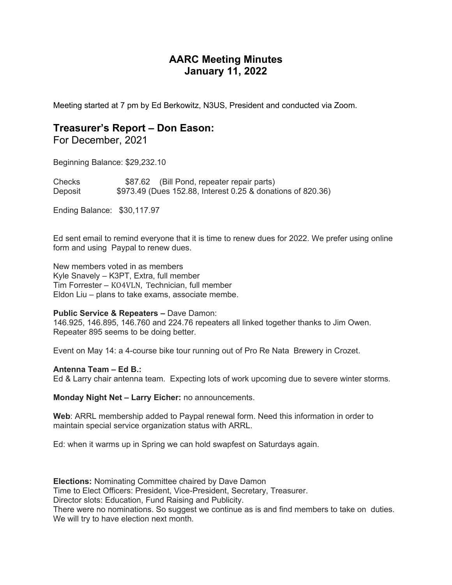# **AARC Meeting Minutes January 11, 2022**

Meeting started at 7 pm by Ed Berkowitz, N3US, President and conducted via Zoom.

### **Treasurer's Report – Don Eason:**

For December, 2021

Beginning Balance: \$29,232.10

Checks \$87.62 (Bill Pond, repeater repair parts) Deposit \$973.49 (Dues 152.88, Interest 0.25 & donations of 820.36)

Ending Balance: \$30,117.97

Ed sent email to remind everyone that it is time to renew dues for 2022. We prefer using online form and using Paypal to renew dues.

New members voted in as members Kyle Snavely – K3PT, Extra, full member Tim Forrester – KO4VLN, Technician, full member Eldon Liu – plans to take exams, associate membe.

#### **Public Service & Repeaters –** Dave Damon:

146.925, 146.895, 146.760 and 224.76 repeaters all linked together thanks to Jim Owen. Repeater 895 seems to be doing better.

Event on May 14: a 4-course bike tour running out of Pro Re Nata Brewery in Crozet.

#### **Antenna Team – Ed B.:**

Ed & Larry chair antenna team. Expecting lots of work upcoming due to severe winter storms.

**Monday Night Net – Larry Eicher:** no announcements.

**Web**: ARRL membership added to Paypal renewal form. Need this information in order to maintain special service organization status with ARRL.

Ed: when it warms up in Spring we can hold swapfest on Saturdays again.

**Elections:** Nominating Committee chaired by Dave Damon

Time to Elect Officers: President, Vice-President, Secretary, Treasurer.

Director slots: Education, Fund Raising and Publicity.

There were no nominations. So suggest we continue as is and find members to take on duties. We will try to have election next month.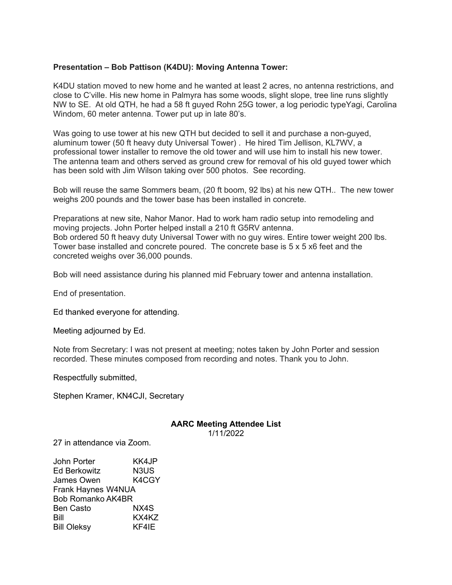### **Presentation – Bob Pattison (K4DU): Moving Antenna Tower:**

K4DU station moved to new home and he wanted at least 2 acres, no antenna restrictions, and close to C'ville. His new home in Palmyra has some woods, slight slope, tree line runs slightly NW to SE. At old QTH, he had a 58 ft guyed Rohn 25G tower, a log periodic typeYagi, Carolina Windom, 60 meter antenna. Tower put up in late 80's.

Was going to use tower at his new QTH but decided to sell it and purchase a non-guyed, aluminum tower (50 ft heavy duty Universal Tower) . He hired Tim Jellison, KL7WV, a professional tower installer to remove the old tower and will use him to install his new tower. The antenna team and others served as ground crew for removal of his old guyed tower which has been sold with Jim Wilson taking over 500 photos. See recording.

Bob will reuse the same Sommers beam, (20 ft boom, 92 lbs) at his new QTH.. The new tower weighs 200 pounds and the tower base has been installed in concrete.

Preparations at new site, Nahor Manor. Had to work ham radio setup into remodeling and moving projects. John Porter helped install a 210 ft G5RV antenna. Bob ordered 50 ft heavy duty Universal Tower with no guy wires. Entire tower weight 200 lbs. Tower base installed and concrete poured. The concrete base is 5 x 5 x6 feet and the concreted weighs over 36,000 pounds.

Bob will need assistance during his planned mid February tower and antenna installation.

End of presentation.

Ed thanked everyone for attending.

Meeting adjourned by Ed.

Note from Secretary: I was not present at meeting; notes taken by John Porter and session recorded. These minutes composed from recording and notes. Thank you to John.

Respectfully submitted,

Stephen Kramer, KN4CJI, Secretary

## **AARC Meeting Attendee List**

1/11/2022

27 in attendance via Zoom.

John Porter KK4JP Ed Berkowitz N3US James Owen K4CGY Frank Haynes W4NUA Bob Romanko AK4BR Ben Casto NX4S Bill KX4KZ Bill Oleksy KF4IE